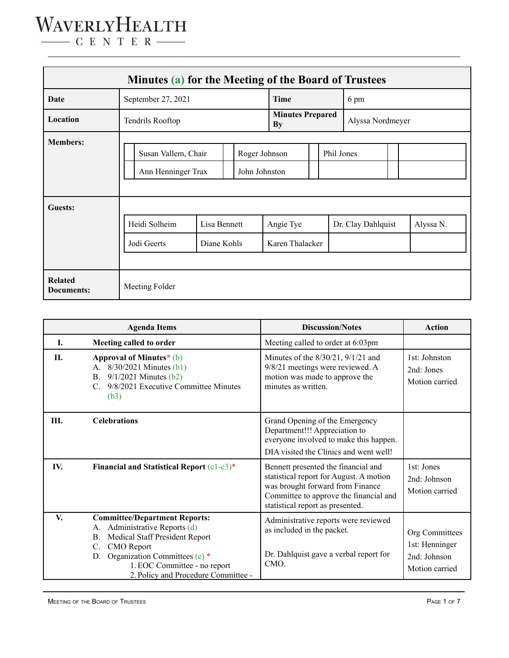| Minutes (a) for the Meeting of the Board of Trustees |                                                                             |                             |  |           |                                             |  |  |                    |  |           |
|------------------------------------------------------|-----------------------------------------------------------------------------|-----------------------------|--|-----------|---------------------------------------------|--|--|--------------------|--|-----------|
| Date                                                 | September 27, 2021                                                          |                             |  | Time      | 6 pm                                        |  |  |                    |  |           |
| Location                                             | Tendrils Rooftop                                                            |                             |  | <b>By</b> | <b>Minutes Prepared</b><br>Alyssa Nordmeyer |  |  |                    |  |           |
| <b>Members:</b>                                      | Roger Johnson<br>Susan Vallem, Chair<br>John Johnston<br>Ann Henninger Trax |                             |  |           | Phil Jones                                  |  |  |                    |  |           |
| Guests:                                              | Heidi Solheim<br>Jodi Geerts                                                | Lisa Bennett<br>Diane Kohls |  |           | Angie Tye<br>Karen Thalacker                |  |  | Dr. Clay Dahlquist |  | Alyssa N. |
| <b>Related</b><br><b>Documents:</b>                  | Meeting Folder                                                              |                             |  |           |                                             |  |  |                    |  |           |

|     | <b>Agenda Items</b>                                                                                                                                                                                                                                   | <b>Discussion/Notes</b>                                                                                                                                                                          | <b>Action</b>                                                      |
|-----|-------------------------------------------------------------------------------------------------------------------------------------------------------------------------------------------------------------------------------------------------------|--------------------------------------------------------------------------------------------------------------------------------------------------------------------------------------------------|--------------------------------------------------------------------|
| L   | Meeting called to order                                                                                                                                                                                                                               | Meeting called to order at 6:03pm                                                                                                                                                                |                                                                    |
| П.  | Approval of Minutes $*(b)$<br>A. 8/30/2021 Minutes (b1)<br>$9/1/2021$ Minutes (b2)<br>$B_{-}$<br>9/8/2021 Executive Committee Minutes<br>(b3)                                                                                                         | Minutes of the 8/30/21, 9/1/21 and<br>9/8/21 meetings were reviewed. A<br>motion was made to approve the<br>minutes as written.                                                                  | 1st: Johnston<br>2nd: Jones<br>Motion carried                      |
| Ш.  | <b>Celebrations</b>                                                                                                                                                                                                                                   | Grand Opening of the Emergency<br>Department!!! Appreciation to<br>everyone involved to make this happen.<br>DIA visited the Clinics and went well!                                              |                                                                    |
| IV. | Financial and Statistical Report $(c1-c3)^*$                                                                                                                                                                                                          | Bennett presented the financial and<br>statistical report for August. A motion<br>was brought forward from Finance<br>Committee to approve the financial and<br>statistical report as presented. | 1st: Jones<br>2nd: Johnson<br>Motion carried                       |
| V.  | <b>Committee/Department Reports:</b><br>Administrative Reports (d)<br>А.<br>Medical Staff President Report<br>В.<br><b>CMO</b> Report<br>Organization Committees (e) $*$<br>D.<br>1. EOC Committee - no report<br>2. Policy and Procedure Committee - | Administrative reports were reviewed<br>as included in the packet.<br>Dr. Dahlquist gave a verbal report for<br>CMO.                                                                             | Org Committees<br>1st: Henninger<br>2nd: Johnson<br>Motion carried |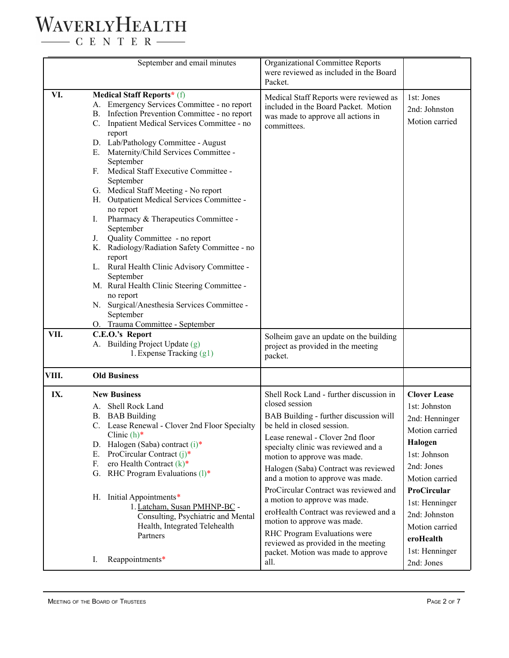#### WAVERLYHEALTH  $\begin{tabular}{c} \quad \quad \textbf{C} \quad E \quad N \quad T \quad E \quad R \end{tabular}$

|       | September and email minutes                                                                                                                                                                                                                                                                                                                                                                                                                                                                                                                                                                                                                                                                                                                                                                                                               | Organizational Committee Reports<br>were reviewed as included in the Board<br>Packet.                                                                                                                                                                                                                                                                                                                                                                                                                                                                                                   |                                                                                                                                                                                                                                        |
|-------|-------------------------------------------------------------------------------------------------------------------------------------------------------------------------------------------------------------------------------------------------------------------------------------------------------------------------------------------------------------------------------------------------------------------------------------------------------------------------------------------------------------------------------------------------------------------------------------------------------------------------------------------------------------------------------------------------------------------------------------------------------------------------------------------------------------------------------------------|-----------------------------------------------------------------------------------------------------------------------------------------------------------------------------------------------------------------------------------------------------------------------------------------------------------------------------------------------------------------------------------------------------------------------------------------------------------------------------------------------------------------------------------------------------------------------------------------|----------------------------------------------------------------------------------------------------------------------------------------------------------------------------------------------------------------------------------------|
| VI.   | <b>Medical Staff Reports*</b> (f)<br>A. Emergency Services Committee - no report<br>B. Infection Prevention Committee - no report<br>C. Inpatient Medical Services Committee - no<br>report<br>D. Lab/Pathology Committee - August<br>E. Maternity/Child Services Committee -<br>September<br>Medical Staff Executive Committee -<br>F.<br>September<br>G. Medical Staff Meeting - No report<br>H. Outpatient Medical Services Committee -<br>no report<br>Pharmacy & Therapeutics Committee -<br>Ι.<br>September<br>Quality Committee - no report<br>J.<br>K. Radiology/Radiation Safety Committee - no<br>report<br>L. Rural Health Clinic Advisory Committee -<br>September<br>M. Rural Health Clinic Steering Committee -<br>no report<br>N. Surgical/Anesthesia Services Committee -<br>September<br>O. Trauma Committee - September | Medical Staff Reports were reviewed as<br>included in the Board Packet. Motion<br>was made to approve all actions in<br>committees.                                                                                                                                                                                                                                                                                                                                                                                                                                                     | 1st: Jones<br>2nd: Johnston<br>Motion carried                                                                                                                                                                                          |
| VII.  | C.E.O.'s Report<br>A. Building Project Update (g)<br>1. Expense Tracking (g1)                                                                                                                                                                                                                                                                                                                                                                                                                                                                                                                                                                                                                                                                                                                                                             | Solheim gave an update on the building<br>project as provided in the meeting<br>packet.                                                                                                                                                                                                                                                                                                                                                                                                                                                                                                 |                                                                                                                                                                                                                                        |
| VIII. | <b>Old Business</b>                                                                                                                                                                                                                                                                                                                                                                                                                                                                                                                                                                                                                                                                                                                                                                                                                       |                                                                                                                                                                                                                                                                                                                                                                                                                                                                                                                                                                                         |                                                                                                                                                                                                                                        |
| IX.   | <b>New Business</b><br>Shell Rock Land<br>A.<br><b>B.</b> BAB Building<br>C. Lease Renewal - Clover 2nd Floor Specialty<br>Clinic $(h)^*$<br>D. Halogen (Saba) contract (i)*<br>E. ProCircular Contract $(i)$ <sup>*</sup><br>F.<br>ero Health Contract $(k)^*$<br>G. RHC Program Evaluations (1)*<br>H. Initial Appointments*<br>1. Latcham, Susan PMHNP-BC -<br>Consulting, Psychiatric and Mental<br>Health, Integrated Telehealth<br>Partners                                                                                                                                                                                                                                                                                                                                                                                         | Shell Rock Land - further discussion in<br>closed session<br>BAB Building - further discussion will<br>be held in closed session.<br>Lease renewal - Clover 2nd floor<br>specialty clinic was reviewed and a<br>motion to approve was made.<br>Halogen (Saba) Contract was reviewed<br>and a motion to approve was made.<br>ProCircular Contract was reviewed and<br>a motion to approve was made.<br>eroHealth Contract was reviewed and a<br>motion to approve was made.<br>RHC Program Evaluations were<br>reviewed as provided in the meeting<br>packet. Motion was made to approve | <b>Clover Lease</b><br>1st: Johnston<br>2nd: Henninger<br>Motion carried<br>Halogen<br>1st: Johnson<br>2nd: Jones<br>Motion carried<br>ProCircular<br>1st: Henninger<br>2nd: Johnston<br>Motion carried<br>eroHealth<br>1st: Henninger |
|       | Reappointments*<br>I.                                                                                                                                                                                                                                                                                                                                                                                                                                                                                                                                                                                                                                                                                                                                                                                                                     | all.                                                                                                                                                                                                                                                                                                                                                                                                                                                                                                                                                                                    | 2nd: Jones                                                                                                                                                                                                                             |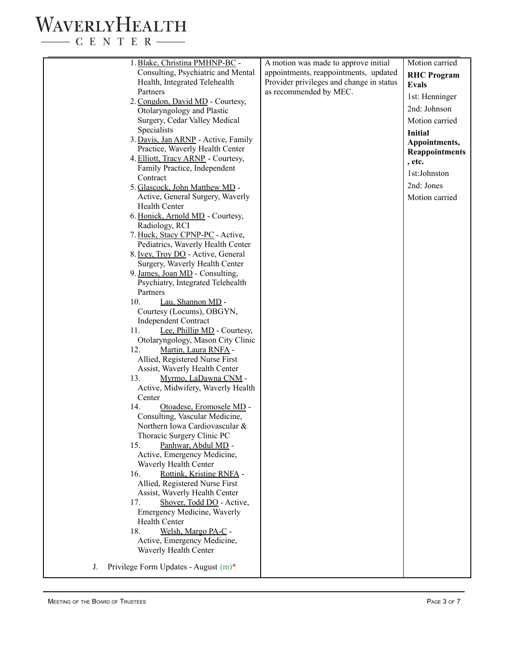$\begin{tabular}{c} \quad \quad \textbf{C} \text{ E} \text{ N} \text{ T} \text{ E} \text{ R} \end{tabular}$ 

| 1. Blake, Christina PMHNP-BC -                                | A motion was made to approve initial     | Motion carried        |
|---------------------------------------------------------------|------------------------------------------|-----------------------|
| Consulting, Psychiatric and Mental                            | appointments, reappointments, updated    | <b>RHC</b> Program    |
| Health, Integrated Telehealth                                 | Provider privileges and change in status |                       |
| Partners                                                      | as recommended by MEC.                   | <b>Evals</b>          |
| 2. Congdon, David MD - Courtesy,                              |                                          | 1st: Henninger        |
| Otolaryngology and Plastic                                    |                                          | 2nd: Johnson          |
| Surgery, Cedar Valley Medical                                 |                                          | Motion carried        |
| Specialists                                                   |                                          | Initial               |
| 3. Davis, Jan ARNP - Active, Family                           |                                          | Appointments,         |
| Practice, Waverly Health Center                               |                                          | <b>Reappointments</b> |
| 4. Elliott, Tracy ARNP - Courtesy,                            |                                          | , etc.                |
| Family Practice, Independent                                  |                                          | 1st:Johnston          |
| Contract                                                      |                                          |                       |
| 5. Glascock, John Matthew MD -                                |                                          | 2nd: Jones            |
| Active, General Surgery, Waverly                              |                                          | Motion carried        |
| Health Center                                                 |                                          |                       |
| 6. Honick, Arnold MD - Courtesy,<br>Radiology, RCI            |                                          |                       |
| 7. Huck, Stacy CPNP-PC - Active,                              |                                          |                       |
| Pediatrics, Waverly Health Center                             |                                          |                       |
| 8. Ivey, Troy DO - Active, General                            |                                          |                       |
| Surgery, Waverly Health Center                                |                                          |                       |
| 9. James, Joan MD - Consulting,                               |                                          |                       |
| Psychiatry, Integrated Telehealth                             |                                          |                       |
| Partners                                                      |                                          |                       |
| 10.<br>Lau, Shannon MD -                                      |                                          |                       |
| Courtesy (Locums), OBGYN,                                     |                                          |                       |
| <b>Independent Contract</b>                                   |                                          |                       |
| Lee, Phillip MD - Courtesy,<br>11.                            |                                          |                       |
| Otolaryngology, Mason City Clinic                             |                                          |                       |
| 12.<br>Martin, Laura RNFA -<br>Allied, Registered Nurse First |                                          |                       |
| Assist, Waverly Health Center                                 |                                          |                       |
| 13.<br>Myrmo, LaDawna CNM -                                   |                                          |                       |
| Active, Midwifery, Waverly Health                             |                                          |                       |
| Center                                                        |                                          |                       |
| 14.<br>Otoadese, Eromosele MD -                               |                                          |                       |
| Consulting, Vascular Medicine,                                |                                          |                       |
| Northern Iowa Cardiovascular &                                |                                          |                       |
| Thoracic Surgery Clinic PC                                    |                                          |                       |
| Panhwar, Abdul MD -<br>15.                                    |                                          |                       |
| Active, Emergency Medicine,                                   |                                          |                       |
| Waverly Health Center                                         |                                          |                       |
| 16.<br>Rottink, Kristine RNFA -                               |                                          |                       |
| Allied, Registered Nurse First                                |                                          |                       |
| Assist, Waverly Health Center                                 |                                          |                       |
| 17.<br>Shover, Todd DO - Active,                              |                                          |                       |
| Emergency Medicine, Waverly<br><b>Health Center</b>           |                                          |                       |
| Welsh, Margo PA-C -<br>18.                                    |                                          |                       |
| Active, Emergency Medicine,                                   |                                          |                       |
| Waverly Health Center                                         |                                          |                       |
|                                                               |                                          |                       |
| Privilege Form Updates - August (m)*<br>J.                    |                                          |                       |
|                                                               |                                          |                       |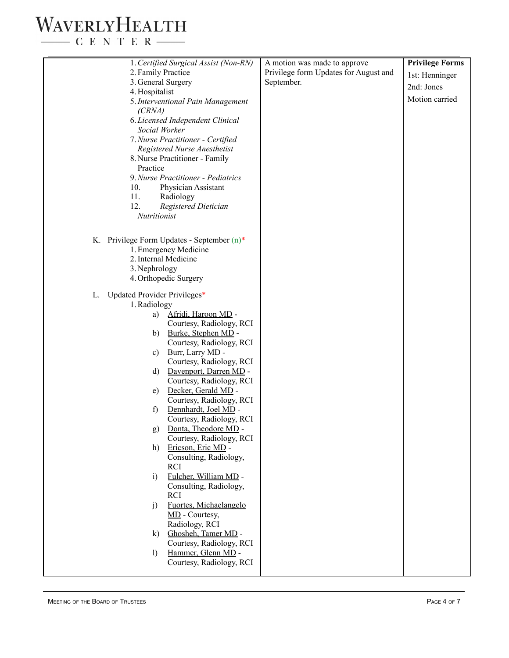$\begin{tabular}{c} \quad \quad \textbf{C} \text{ E} \text{ N} \text{ T} \text{ E} \text{ R} \end{tabular}$ 

| 2. Family Practice<br>Privilege form Updates for August and<br>1st: Henninger<br>3. General Surgery<br>September.<br>2nd: Jones<br>4. Hospitalist<br>Motion carried<br>5. Interventional Pain Management<br>(CRNA)<br>6. Licensed Independent Clinical<br>Social Worker<br>7. Nurse Practitioner - Certified<br>Registered Nurse Anesthetist<br>8. Nurse Practitioner - Family<br>Practice<br>9. Nurse Practitioner - Pediatrics<br>10.<br>Physician Assistant<br>11.<br>Radiology<br>12.<br><b>Registered Dietician</b><br>Nutritionist<br>K. Privilege Form Updates - September (n)*<br>1. Emergency Medicine<br>2. Internal Medicine<br>3. Nephrology<br>4. Orthopedic Surgery<br>Updated Provider Privileges*<br>L.<br>1. Radiology<br>Afridi, Haroon MD -<br>a)<br>Courtesy, Radiology, RCI<br>Burke, Stephen MD -<br>b)<br>Courtesy, Radiology, RCI<br>Burr, Larry MD -<br>c)<br>Courtesy, Radiology, RCI<br>Davenport, Darren MD -<br>d)<br>Courtesy, Radiology, RCI<br>Decker, Gerald MD -<br>e)<br>Courtesy, Radiology, RCI<br>Dennhardt, Joel MD -<br>f)<br>Courtesy, Radiology, RCI<br>g) Donta, Theodore MD -<br>Courtesy, Radiology, RCI<br>h)<br>Ericson, Eric MD -<br>Consulting, Radiology,<br><b>RCI</b><br>Fulcher, William MD -<br>$\ddot{1}$<br>Consulting, Radiology,<br><b>RCI</b><br>Fuortes, Michaelangelo<br>j)<br>MD - Courtesy,<br>Radiology, RCI<br>Ghosheh, Tamer MD -<br>$\bf k)$<br>Courtesy, Radiology, RCI<br>Hammer, Glenn MD -<br>$\mathbf{I}$<br>Courtesy, Radiology, RCI | 1. Certified Surgical Assist (Non-RN) | A motion was made to approve | <b>Privilege Forms</b> |
|---------------------------------------------------------------------------------------------------------------------------------------------------------------------------------------------------------------------------------------------------------------------------------------------------------------------------------------------------------------------------------------------------------------------------------------------------------------------------------------------------------------------------------------------------------------------------------------------------------------------------------------------------------------------------------------------------------------------------------------------------------------------------------------------------------------------------------------------------------------------------------------------------------------------------------------------------------------------------------------------------------------------------------------------------------------------------------------------------------------------------------------------------------------------------------------------------------------------------------------------------------------------------------------------------------------------------------------------------------------------------------------------------------------------------------------------------------------------------------------------------------------|---------------------------------------|------------------------------|------------------------|
|                                                                                                                                                                                                                                                                                                                                                                                                                                                                                                                                                                                                                                                                                                                                                                                                                                                                                                                                                                                                                                                                                                                                                                                                                                                                                                                                                                                                                                                                                                               |                                       |                              |                        |
|                                                                                                                                                                                                                                                                                                                                                                                                                                                                                                                                                                                                                                                                                                                                                                                                                                                                                                                                                                                                                                                                                                                                                                                                                                                                                                                                                                                                                                                                                                               |                                       |                              |                        |
|                                                                                                                                                                                                                                                                                                                                                                                                                                                                                                                                                                                                                                                                                                                                                                                                                                                                                                                                                                                                                                                                                                                                                                                                                                                                                                                                                                                                                                                                                                               |                                       |                              |                        |
|                                                                                                                                                                                                                                                                                                                                                                                                                                                                                                                                                                                                                                                                                                                                                                                                                                                                                                                                                                                                                                                                                                                                                                                                                                                                                                                                                                                                                                                                                                               |                                       |                              |                        |
|                                                                                                                                                                                                                                                                                                                                                                                                                                                                                                                                                                                                                                                                                                                                                                                                                                                                                                                                                                                                                                                                                                                                                                                                                                                                                                                                                                                                                                                                                                               |                                       |                              |                        |
|                                                                                                                                                                                                                                                                                                                                                                                                                                                                                                                                                                                                                                                                                                                                                                                                                                                                                                                                                                                                                                                                                                                                                                                                                                                                                                                                                                                                                                                                                                               |                                       |                              |                        |
|                                                                                                                                                                                                                                                                                                                                                                                                                                                                                                                                                                                                                                                                                                                                                                                                                                                                                                                                                                                                                                                                                                                                                                                                                                                                                                                                                                                                                                                                                                               |                                       |                              |                        |
|                                                                                                                                                                                                                                                                                                                                                                                                                                                                                                                                                                                                                                                                                                                                                                                                                                                                                                                                                                                                                                                                                                                                                                                                                                                                                                                                                                                                                                                                                                               |                                       |                              |                        |
|                                                                                                                                                                                                                                                                                                                                                                                                                                                                                                                                                                                                                                                                                                                                                                                                                                                                                                                                                                                                                                                                                                                                                                                                                                                                                                                                                                                                                                                                                                               |                                       |                              |                        |
|                                                                                                                                                                                                                                                                                                                                                                                                                                                                                                                                                                                                                                                                                                                                                                                                                                                                                                                                                                                                                                                                                                                                                                                                                                                                                                                                                                                                                                                                                                               |                                       |                              |                        |
|                                                                                                                                                                                                                                                                                                                                                                                                                                                                                                                                                                                                                                                                                                                                                                                                                                                                                                                                                                                                                                                                                                                                                                                                                                                                                                                                                                                                                                                                                                               |                                       |                              |                        |
|                                                                                                                                                                                                                                                                                                                                                                                                                                                                                                                                                                                                                                                                                                                                                                                                                                                                                                                                                                                                                                                                                                                                                                                                                                                                                                                                                                                                                                                                                                               |                                       |                              |                        |
|                                                                                                                                                                                                                                                                                                                                                                                                                                                                                                                                                                                                                                                                                                                                                                                                                                                                                                                                                                                                                                                                                                                                                                                                                                                                                                                                                                                                                                                                                                               |                                       |                              |                        |
|                                                                                                                                                                                                                                                                                                                                                                                                                                                                                                                                                                                                                                                                                                                                                                                                                                                                                                                                                                                                                                                                                                                                                                                                                                                                                                                                                                                                                                                                                                               |                                       |                              |                        |
|                                                                                                                                                                                                                                                                                                                                                                                                                                                                                                                                                                                                                                                                                                                                                                                                                                                                                                                                                                                                                                                                                                                                                                                                                                                                                                                                                                                                                                                                                                               |                                       |                              |                        |
|                                                                                                                                                                                                                                                                                                                                                                                                                                                                                                                                                                                                                                                                                                                                                                                                                                                                                                                                                                                                                                                                                                                                                                                                                                                                                                                                                                                                                                                                                                               |                                       |                              |                        |
|                                                                                                                                                                                                                                                                                                                                                                                                                                                                                                                                                                                                                                                                                                                                                                                                                                                                                                                                                                                                                                                                                                                                                                                                                                                                                                                                                                                                                                                                                                               |                                       |                              |                        |
|                                                                                                                                                                                                                                                                                                                                                                                                                                                                                                                                                                                                                                                                                                                                                                                                                                                                                                                                                                                                                                                                                                                                                                                                                                                                                                                                                                                                                                                                                                               |                                       |                              |                        |
|                                                                                                                                                                                                                                                                                                                                                                                                                                                                                                                                                                                                                                                                                                                                                                                                                                                                                                                                                                                                                                                                                                                                                                                                                                                                                                                                                                                                                                                                                                               |                                       |                              |                        |
|                                                                                                                                                                                                                                                                                                                                                                                                                                                                                                                                                                                                                                                                                                                                                                                                                                                                                                                                                                                                                                                                                                                                                                                                                                                                                                                                                                                                                                                                                                               |                                       |                              |                        |
|                                                                                                                                                                                                                                                                                                                                                                                                                                                                                                                                                                                                                                                                                                                                                                                                                                                                                                                                                                                                                                                                                                                                                                                                                                                                                                                                                                                                                                                                                                               |                                       |                              |                        |
|                                                                                                                                                                                                                                                                                                                                                                                                                                                                                                                                                                                                                                                                                                                                                                                                                                                                                                                                                                                                                                                                                                                                                                                                                                                                                                                                                                                                                                                                                                               |                                       |                              |                        |
|                                                                                                                                                                                                                                                                                                                                                                                                                                                                                                                                                                                                                                                                                                                                                                                                                                                                                                                                                                                                                                                                                                                                                                                                                                                                                                                                                                                                                                                                                                               |                                       |                              |                        |
|                                                                                                                                                                                                                                                                                                                                                                                                                                                                                                                                                                                                                                                                                                                                                                                                                                                                                                                                                                                                                                                                                                                                                                                                                                                                                                                                                                                                                                                                                                               |                                       |                              |                        |
|                                                                                                                                                                                                                                                                                                                                                                                                                                                                                                                                                                                                                                                                                                                                                                                                                                                                                                                                                                                                                                                                                                                                                                                                                                                                                                                                                                                                                                                                                                               |                                       |                              |                        |
|                                                                                                                                                                                                                                                                                                                                                                                                                                                                                                                                                                                                                                                                                                                                                                                                                                                                                                                                                                                                                                                                                                                                                                                                                                                                                                                                                                                                                                                                                                               |                                       |                              |                        |
|                                                                                                                                                                                                                                                                                                                                                                                                                                                                                                                                                                                                                                                                                                                                                                                                                                                                                                                                                                                                                                                                                                                                                                                                                                                                                                                                                                                                                                                                                                               |                                       |                              |                        |
|                                                                                                                                                                                                                                                                                                                                                                                                                                                                                                                                                                                                                                                                                                                                                                                                                                                                                                                                                                                                                                                                                                                                                                                                                                                                                                                                                                                                                                                                                                               |                                       |                              |                        |
|                                                                                                                                                                                                                                                                                                                                                                                                                                                                                                                                                                                                                                                                                                                                                                                                                                                                                                                                                                                                                                                                                                                                                                                                                                                                                                                                                                                                                                                                                                               |                                       |                              |                        |
|                                                                                                                                                                                                                                                                                                                                                                                                                                                                                                                                                                                                                                                                                                                                                                                                                                                                                                                                                                                                                                                                                                                                                                                                                                                                                                                                                                                                                                                                                                               |                                       |                              |                        |
|                                                                                                                                                                                                                                                                                                                                                                                                                                                                                                                                                                                                                                                                                                                                                                                                                                                                                                                                                                                                                                                                                                                                                                                                                                                                                                                                                                                                                                                                                                               |                                       |                              |                        |
|                                                                                                                                                                                                                                                                                                                                                                                                                                                                                                                                                                                                                                                                                                                                                                                                                                                                                                                                                                                                                                                                                                                                                                                                                                                                                                                                                                                                                                                                                                               |                                       |                              |                        |
|                                                                                                                                                                                                                                                                                                                                                                                                                                                                                                                                                                                                                                                                                                                                                                                                                                                                                                                                                                                                                                                                                                                                                                                                                                                                                                                                                                                                                                                                                                               |                                       |                              |                        |
|                                                                                                                                                                                                                                                                                                                                                                                                                                                                                                                                                                                                                                                                                                                                                                                                                                                                                                                                                                                                                                                                                                                                                                                                                                                                                                                                                                                                                                                                                                               |                                       |                              |                        |
|                                                                                                                                                                                                                                                                                                                                                                                                                                                                                                                                                                                                                                                                                                                                                                                                                                                                                                                                                                                                                                                                                                                                                                                                                                                                                                                                                                                                                                                                                                               |                                       |                              |                        |
|                                                                                                                                                                                                                                                                                                                                                                                                                                                                                                                                                                                                                                                                                                                                                                                                                                                                                                                                                                                                                                                                                                                                                                                                                                                                                                                                                                                                                                                                                                               |                                       |                              |                        |
|                                                                                                                                                                                                                                                                                                                                                                                                                                                                                                                                                                                                                                                                                                                                                                                                                                                                                                                                                                                                                                                                                                                                                                                                                                                                                                                                                                                                                                                                                                               |                                       |                              |                        |
|                                                                                                                                                                                                                                                                                                                                                                                                                                                                                                                                                                                                                                                                                                                                                                                                                                                                                                                                                                                                                                                                                                                                                                                                                                                                                                                                                                                                                                                                                                               |                                       |                              |                        |
|                                                                                                                                                                                                                                                                                                                                                                                                                                                                                                                                                                                                                                                                                                                                                                                                                                                                                                                                                                                                                                                                                                                                                                                                                                                                                                                                                                                                                                                                                                               |                                       |                              |                        |
|                                                                                                                                                                                                                                                                                                                                                                                                                                                                                                                                                                                                                                                                                                                                                                                                                                                                                                                                                                                                                                                                                                                                                                                                                                                                                                                                                                                                                                                                                                               |                                       |                              |                        |
|                                                                                                                                                                                                                                                                                                                                                                                                                                                                                                                                                                                                                                                                                                                                                                                                                                                                                                                                                                                                                                                                                                                                                                                                                                                                                                                                                                                                                                                                                                               |                                       |                              |                        |
|                                                                                                                                                                                                                                                                                                                                                                                                                                                                                                                                                                                                                                                                                                                                                                                                                                                                                                                                                                                                                                                                                                                                                                                                                                                                                                                                                                                                                                                                                                               |                                       |                              |                        |
|                                                                                                                                                                                                                                                                                                                                                                                                                                                                                                                                                                                                                                                                                                                                                                                                                                                                                                                                                                                                                                                                                                                                                                                                                                                                                                                                                                                                                                                                                                               |                                       |                              |                        |
|                                                                                                                                                                                                                                                                                                                                                                                                                                                                                                                                                                                                                                                                                                                                                                                                                                                                                                                                                                                                                                                                                                                                                                                                                                                                                                                                                                                                                                                                                                               |                                       |                              |                        |
|                                                                                                                                                                                                                                                                                                                                                                                                                                                                                                                                                                                                                                                                                                                                                                                                                                                                                                                                                                                                                                                                                                                                                                                                                                                                                                                                                                                                                                                                                                               |                                       |                              |                        |
|                                                                                                                                                                                                                                                                                                                                                                                                                                                                                                                                                                                                                                                                                                                                                                                                                                                                                                                                                                                                                                                                                                                                                                                                                                                                                                                                                                                                                                                                                                               |                                       |                              |                        |
|                                                                                                                                                                                                                                                                                                                                                                                                                                                                                                                                                                                                                                                                                                                                                                                                                                                                                                                                                                                                                                                                                                                                                                                                                                                                                                                                                                                                                                                                                                               |                                       |                              |                        |
|                                                                                                                                                                                                                                                                                                                                                                                                                                                                                                                                                                                                                                                                                                                                                                                                                                                                                                                                                                                                                                                                                                                                                                                                                                                                                                                                                                                                                                                                                                               |                                       |                              |                        |
|                                                                                                                                                                                                                                                                                                                                                                                                                                                                                                                                                                                                                                                                                                                                                                                                                                                                                                                                                                                                                                                                                                                                                                                                                                                                                                                                                                                                                                                                                                               |                                       |                              |                        |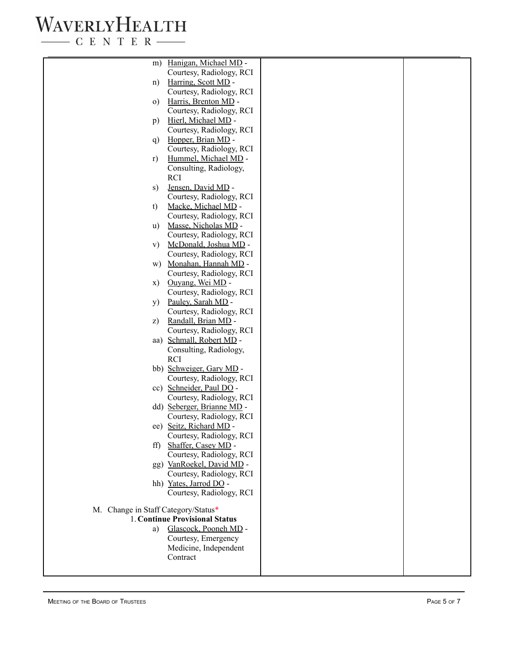$\begin{tabular}{c} \quad \quad \textbf{C} \textbf{E} \textbf{N} \textbf{T} \textbf{E} \textbf{R} \end{tabular}$ 

| m)                                  | Hanigan, Michael MD -                          |  |
|-------------------------------------|------------------------------------------------|--|
|                                     | Courtesy, Radiology, RCI                       |  |
| n)                                  | Harring, Scott MD -                            |  |
|                                     | Courtesy, Radiology, RCI                       |  |
| $\Omega$ )                          | Harris, Brenton MD -                           |  |
|                                     | Courtesy, Radiology, RCI                       |  |
| p)                                  | Hierl, Michael MD -                            |  |
|                                     | Courtesy, Radiology, RCI                       |  |
| q)                                  | Hopper, Brian MD -                             |  |
|                                     | Courtesy, Radiology, RCI                       |  |
| r)                                  | Hummel, Michael MD -                           |  |
|                                     | Consulting, Radiology,                         |  |
|                                     | <b>RCI</b>                                     |  |
| S)                                  | Jensen, David MD -                             |  |
|                                     | Courtesy, Radiology, RCI                       |  |
| t)                                  | Macke, Michael MD -                            |  |
|                                     | Courtesy, Radiology, RCI                       |  |
| $\mathbf{u}$                        | Masse, Nicholas MD -                           |  |
|                                     | Courtesy, Radiology, RCI                       |  |
| V)                                  | McDonald, Joshua MD -                          |  |
|                                     | Courtesy, Radiology, RCI                       |  |
| W)                                  | Monahan, Hannah MD -                           |  |
|                                     | Courtesy, Radiology, RCI                       |  |
| X)                                  | Ouvang, Wei MD -                               |  |
|                                     | Courtesy, Radiology, RCI                       |  |
| y)                                  | Pauley, Sarah MD -<br>Courtesy, Radiology, RCI |  |
| z)                                  | Randall, Brian MD -                            |  |
|                                     | Courtesy, Radiology, RCI                       |  |
|                                     | aa) Schmall, Robert MD -                       |  |
|                                     | Consulting, Radiology,                         |  |
|                                     | <b>RCI</b>                                     |  |
|                                     | bb) Schweiger, Gary MD -                       |  |
|                                     | Courtesy, Radiology, RCI                       |  |
|                                     | cc) Schneider, Paul DO -                       |  |
|                                     | Courtesy, Radiology, RCI                       |  |
|                                     | dd) Seberger, Brianne MD -                     |  |
|                                     | Courtesy, Radiology, RCI                       |  |
|                                     | ee) Seitz, Richard MD -                        |  |
|                                     | Courtesy, Radiology, RCI                       |  |
| $\mathrm{ff}$                       | Shaffer, Casey MD -                            |  |
|                                     | Courtesy, Radiology, RCI                       |  |
|                                     | gg) VanRoekel, David MD -                      |  |
|                                     | Courtesy, Radiology, RCI                       |  |
|                                     | hh) Yates, Jarrod DO -                         |  |
|                                     | Courtesy, Radiology, RCI                       |  |
| M. Change in Staff Category/Status* |                                                |  |
|                                     | 1. Continue Provisional Status                 |  |
| a)                                  | Glascock, Pooneh MD -                          |  |
|                                     | Courtesy, Emergency                            |  |
|                                     | Medicine, Independent                          |  |
|                                     | Contract                                       |  |
|                                     |                                                |  |
|                                     |                                                |  |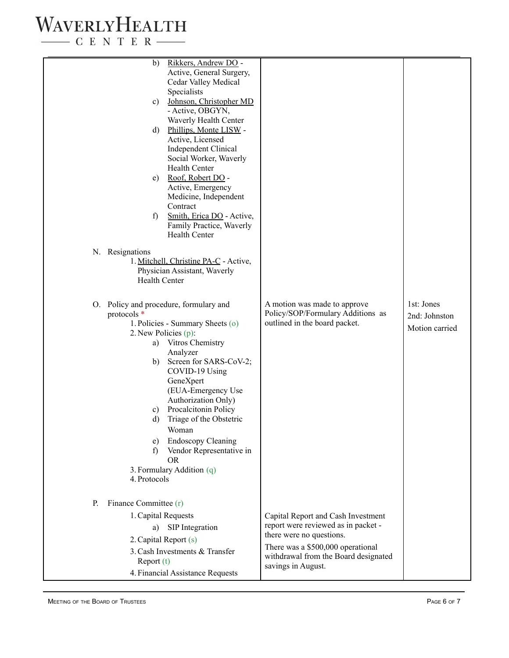$\begin{tabular}{c} \quad \quad \textbf{C} \text{ E} \text{ N} \text{ T} \text{ E} \text{ R} \end{tabular}$ 

| b)<br>Active, General Surgery,<br>Cedar Valley Medical<br>Specialists<br>Johnson, Christopher MD<br>C)<br>- Active, OBGYN,<br>Waverly Health Center<br>d) Phillips, Monte LISW -<br>Active, Licensed<br><b>Independent Clinical</b><br>Social Worker, Waverly<br><b>Health Center</b><br>e) Roof, Robert DO -<br>Active, Emergency<br>Medicine, Independent<br>Contract<br>Smith, Erica DO - Active,<br>f)<br>Family Practice, Waverly<br><b>Health Center</b><br>N. Resignations<br>1. Mitchell, Christine PA-C - Active,<br>Physician Assistant, Waverly<br><b>Health Center</b><br>1st: Jones<br>A motion was made to approve<br>O. Policy and procedure, formulary and<br>Policy/SOP/Formulary Additions as<br>protocols *<br>2nd: Johnston<br>1. Policies - Summary Sheets (o)<br>outlined in the board packet.<br>Motion carried<br>2. New Policies (p):<br>a) Vitros Chemistry<br>Analyzer<br>Screen for SARS-CoV-2;<br>b)<br>COVID-19 Using<br>GeneXpert<br>(EUA-Emergency Use<br>Authorization Only)<br>Procalcitonin Policy<br>C)<br>Triage of the Obstetric<br>d)<br>Woman<br><b>Endoscopy Cleaning</b><br>e)<br>Vendor Representative in<br>f)<br><b>OR</b><br>3. Formulary Addition (q)<br>4. Protocols<br>Finance Committee (r)<br>P.<br>1. Capital Requests<br>Capital Report and Cash Investment<br>report were reviewed as in packet -<br>SIP Integration<br>a)<br>there were no questions.<br>2. Capital Report (s)<br>There was a \$500,000 operational<br>3. Cash Investments & Transfer<br>withdrawal from the Board designated<br>Report (t)<br>savings in August.<br>4. Financial Assistance Requests |                      |  |
|------------------------------------------------------------------------------------------------------------------------------------------------------------------------------------------------------------------------------------------------------------------------------------------------------------------------------------------------------------------------------------------------------------------------------------------------------------------------------------------------------------------------------------------------------------------------------------------------------------------------------------------------------------------------------------------------------------------------------------------------------------------------------------------------------------------------------------------------------------------------------------------------------------------------------------------------------------------------------------------------------------------------------------------------------------------------------------------------------------------------------------------------------------------------------------------------------------------------------------------------------------------------------------------------------------------------------------------------------------------------------------------------------------------------------------------------------------------------------------------------------------------------------------------------------------------------------------------------------------------------------|----------------------|--|
|                                                                                                                                                                                                                                                                                                                                                                                                                                                                                                                                                                                                                                                                                                                                                                                                                                                                                                                                                                                                                                                                                                                                                                                                                                                                                                                                                                                                                                                                                                                                                                                                                              | Rikkers, Andrew DO - |  |
|                                                                                                                                                                                                                                                                                                                                                                                                                                                                                                                                                                                                                                                                                                                                                                                                                                                                                                                                                                                                                                                                                                                                                                                                                                                                                                                                                                                                                                                                                                                                                                                                                              |                      |  |
|                                                                                                                                                                                                                                                                                                                                                                                                                                                                                                                                                                                                                                                                                                                                                                                                                                                                                                                                                                                                                                                                                                                                                                                                                                                                                                                                                                                                                                                                                                                                                                                                                              |                      |  |
|                                                                                                                                                                                                                                                                                                                                                                                                                                                                                                                                                                                                                                                                                                                                                                                                                                                                                                                                                                                                                                                                                                                                                                                                                                                                                                                                                                                                                                                                                                                                                                                                                              |                      |  |
|                                                                                                                                                                                                                                                                                                                                                                                                                                                                                                                                                                                                                                                                                                                                                                                                                                                                                                                                                                                                                                                                                                                                                                                                                                                                                                                                                                                                                                                                                                                                                                                                                              |                      |  |
|                                                                                                                                                                                                                                                                                                                                                                                                                                                                                                                                                                                                                                                                                                                                                                                                                                                                                                                                                                                                                                                                                                                                                                                                                                                                                                                                                                                                                                                                                                                                                                                                                              |                      |  |
|                                                                                                                                                                                                                                                                                                                                                                                                                                                                                                                                                                                                                                                                                                                                                                                                                                                                                                                                                                                                                                                                                                                                                                                                                                                                                                                                                                                                                                                                                                                                                                                                                              |                      |  |
|                                                                                                                                                                                                                                                                                                                                                                                                                                                                                                                                                                                                                                                                                                                                                                                                                                                                                                                                                                                                                                                                                                                                                                                                                                                                                                                                                                                                                                                                                                                                                                                                                              |                      |  |
|                                                                                                                                                                                                                                                                                                                                                                                                                                                                                                                                                                                                                                                                                                                                                                                                                                                                                                                                                                                                                                                                                                                                                                                                                                                                                                                                                                                                                                                                                                                                                                                                                              |                      |  |
|                                                                                                                                                                                                                                                                                                                                                                                                                                                                                                                                                                                                                                                                                                                                                                                                                                                                                                                                                                                                                                                                                                                                                                                                                                                                                                                                                                                                                                                                                                                                                                                                                              |                      |  |
|                                                                                                                                                                                                                                                                                                                                                                                                                                                                                                                                                                                                                                                                                                                                                                                                                                                                                                                                                                                                                                                                                                                                                                                                                                                                                                                                                                                                                                                                                                                                                                                                                              |                      |  |
|                                                                                                                                                                                                                                                                                                                                                                                                                                                                                                                                                                                                                                                                                                                                                                                                                                                                                                                                                                                                                                                                                                                                                                                                                                                                                                                                                                                                                                                                                                                                                                                                                              |                      |  |
|                                                                                                                                                                                                                                                                                                                                                                                                                                                                                                                                                                                                                                                                                                                                                                                                                                                                                                                                                                                                                                                                                                                                                                                                                                                                                                                                                                                                                                                                                                                                                                                                                              |                      |  |
|                                                                                                                                                                                                                                                                                                                                                                                                                                                                                                                                                                                                                                                                                                                                                                                                                                                                                                                                                                                                                                                                                                                                                                                                                                                                                                                                                                                                                                                                                                                                                                                                                              |                      |  |
|                                                                                                                                                                                                                                                                                                                                                                                                                                                                                                                                                                                                                                                                                                                                                                                                                                                                                                                                                                                                                                                                                                                                                                                                                                                                                                                                                                                                                                                                                                                                                                                                                              |                      |  |
|                                                                                                                                                                                                                                                                                                                                                                                                                                                                                                                                                                                                                                                                                                                                                                                                                                                                                                                                                                                                                                                                                                                                                                                                                                                                                                                                                                                                                                                                                                                                                                                                                              |                      |  |
|                                                                                                                                                                                                                                                                                                                                                                                                                                                                                                                                                                                                                                                                                                                                                                                                                                                                                                                                                                                                                                                                                                                                                                                                                                                                                                                                                                                                                                                                                                                                                                                                                              |                      |  |
|                                                                                                                                                                                                                                                                                                                                                                                                                                                                                                                                                                                                                                                                                                                                                                                                                                                                                                                                                                                                                                                                                                                                                                                                                                                                                                                                                                                                                                                                                                                                                                                                                              |                      |  |
|                                                                                                                                                                                                                                                                                                                                                                                                                                                                                                                                                                                                                                                                                                                                                                                                                                                                                                                                                                                                                                                                                                                                                                                                                                                                                                                                                                                                                                                                                                                                                                                                                              |                      |  |
|                                                                                                                                                                                                                                                                                                                                                                                                                                                                                                                                                                                                                                                                                                                                                                                                                                                                                                                                                                                                                                                                                                                                                                                                                                                                                                                                                                                                                                                                                                                                                                                                                              |                      |  |
|                                                                                                                                                                                                                                                                                                                                                                                                                                                                                                                                                                                                                                                                                                                                                                                                                                                                                                                                                                                                                                                                                                                                                                                                                                                                                                                                                                                                                                                                                                                                                                                                                              |                      |  |
|                                                                                                                                                                                                                                                                                                                                                                                                                                                                                                                                                                                                                                                                                                                                                                                                                                                                                                                                                                                                                                                                                                                                                                                                                                                                                                                                                                                                                                                                                                                                                                                                                              |                      |  |
|                                                                                                                                                                                                                                                                                                                                                                                                                                                                                                                                                                                                                                                                                                                                                                                                                                                                                                                                                                                                                                                                                                                                                                                                                                                                                                                                                                                                                                                                                                                                                                                                                              |                      |  |
|                                                                                                                                                                                                                                                                                                                                                                                                                                                                                                                                                                                                                                                                                                                                                                                                                                                                                                                                                                                                                                                                                                                                                                                                                                                                                                                                                                                                                                                                                                                                                                                                                              |                      |  |
|                                                                                                                                                                                                                                                                                                                                                                                                                                                                                                                                                                                                                                                                                                                                                                                                                                                                                                                                                                                                                                                                                                                                                                                                                                                                                                                                                                                                                                                                                                                                                                                                                              |                      |  |
|                                                                                                                                                                                                                                                                                                                                                                                                                                                                                                                                                                                                                                                                                                                                                                                                                                                                                                                                                                                                                                                                                                                                                                                                                                                                                                                                                                                                                                                                                                                                                                                                                              |                      |  |
|                                                                                                                                                                                                                                                                                                                                                                                                                                                                                                                                                                                                                                                                                                                                                                                                                                                                                                                                                                                                                                                                                                                                                                                                                                                                                                                                                                                                                                                                                                                                                                                                                              |                      |  |
|                                                                                                                                                                                                                                                                                                                                                                                                                                                                                                                                                                                                                                                                                                                                                                                                                                                                                                                                                                                                                                                                                                                                                                                                                                                                                                                                                                                                                                                                                                                                                                                                                              |                      |  |
|                                                                                                                                                                                                                                                                                                                                                                                                                                                                                                                                                                                                                                                                                                                                                                                                                                                                                                                                                                                                                                                                                                                                                                                                                                                                                                                                                                                                                                                                                                                                                                                                                              |                      |  |
|                                                                                                                                                                                                                                                                                                                                                                                                                                                                                                                                                                                                                                                                                                                                                                                                                                                                                                                                                                                                                                                                                                                                                                                                                                                                                                                                                                                                                                                                                                                                                                                                                              |                      |  |
|                                                                                                                                                                                                                                                                                                                                                                                                                                                                                                                                                                                                                                                                                                                                                                                                                                                                                                                                                                                                                                                                                                                                                                                                                                                                                                                                                                                                                                                                                                                                                                                                                              |                      |  |
|                                                                                                                                                                                                                                                                                                                                                                                                                                                                                                                                                                                                                                                                                                                                                                                                                                                                                                                                                                                                                                                                                                                                                                                                                                                                                                                                                                                                                                                                                                                                                                                                                              |                      |  |
|                                                                                                                                                                                                                                                                                                                                                                                                                                                                                                                                                                                                                                                                                                                                                                                                                                                                                                                                                                                                                                                                                                                                                                                                                                                                                                                                                                                                                                                                                                                                                                                                                              |                      |  |
|                                                                                                                                                                                                                                                                                                                                                                                                                                                                                                                                                                                                                                                                                                                                                                                                                                                                                                                                                                                                                                                                                                                                                                                                                                                                                                                                                                                                                                                                                                                                                                                                                              |                      |  |
|                                                                                                                                                                                                                                                                                                                                                                                                                                                                                                                                                                                                                                                                                                                                                                                                                                                                                                                                                                                                                                                                                                                                                                                                                                                                                                                                                                                                                                                                                                                                                                                                                              |                      |  |
|                                                                                                                                                                                                                                                                                                                                                                                                                                                                                                                                                                                                                                                                                                                                                                                                                                                                                                                                                                                                                                                                                                                                                                                                                                                                                                                                                                                                                                                                                                                                                                                                                              |                      |  |
|                                                                                                                                                                                                                                                                                                                                                                                                                                                                                                                                                                                                                                                                                                                                                                                                                                                                                                                                                                                                                                                                                                                                                                                                                                                                                                                                                                                                                                                                                                                                                                                                                              |                      |  |
|                                                                                                                                                                                                                                                                                                                                                                                                                                                                                                                                                                                                                                                                                                                                                                                                                                                                                                                                                                                                                                                                                                                                                                                                                                                                                                                                                                                                                                                                                                                                                                                                                              |                      |  |
|                                                                                                                                                                                                                                                                                                                                                                                                                                                                                                                                                                                                                                                                                                                                                                                                                                                                                                                                                                                                                                                                                                                                                                                                                                                                                                                                                                                                                                                                                                                                                                                                                              |                      |  |
|                                                                                                                                                                                                                                                                                                                                                                                                                                                                                                                                                                                                                                                                                                                                                                                                                                                                                                                                                                                                                                                                                                                                                                                                                                                                                                                                                                                                                                                                                                                                                                                                                              |                      |  |
|                                                                                                                                                                                                                                                                                                                                                                                                                                                                                                                                                                                                                                                                                                                                                                                                                                                                                                                                                                                                                                                                                                                                                                                                                                                                                                                                                                                                                                                                                                                                                                                                                              |                      |  |
|                                                                                                                                                                                                                                                                                                                                                                                                                                                                                                                                                                                                                                                                                                                                                                                                                                                                                                                                                                                                                                                                                                                                                                                                                                                                                                                                                                                                                                                                                                                                                                                                                              |                      |  |
|                                                                                                                                                                                                                                                                                                                                                                                                                                                                                                                                                                                                                                                                                                                                                                                                                                                                                                                                                                                                                                                                                                                                                                                                                                                                                                                                                                                                                                                                                                                                                                                                                              |                      |  |
|                                                                                                                                                                                                                                                                                                                                                                                                                                                                                                                                                                                                                                                                                                                                                                                                                                                                                                                                                                                                                                                                                                                                                                                                                                                                                                                                                                                                                                                                                                                                                                                                                              |                      |  |
|                                                                                                                                                                                                                                                                                                                                                                                                                                                                                                                                                                                                                                                                                                                                                                                                                                                                                                                                                                                                                                                                                                                                                                                                                                                                                                                                                                                                                                                                                                                                                                                                                              |                      |  |
|                                                                                                                                                                                                                                                                                                                                                                                                                                                                                                                                                                                                                                                                                                                                                                                                                                                                                                                                                                                                                                                                                                                                                                                                                                                                                                                                                                                                                                                                                                                                                                                                                              |                      |  |
|                                                                                                                                                                                                                                                                                                                                                                                                                                                                                                                                                                                                                                                                                                                                                                                                                                                                                                                                                                                                                                                                                                                                                                                                                                                                                                                                                                                                                                                                                                                                                                                                                              |                      |  |
|                                                                                                                                                                                                                                                                                                                                                                                                                                                                                                                                                                                                                                                                                                                                                                                                                                                                                                                                                                                                                                                                                                                                                                                                                                                                                                                                                                                                                                                                                                                                                                                                                              |                      |  |
|                                                                                                                                                                                                                                                                                                                                                                                                                                                                                                                                                                                                                                                                                                                                                                                                                                                                                                                                                                                                                                                                                                                                                                                                                                                                                                                                                                                                                                                                                                                                                                                                                              |                      |  |
|                                                                                                                                                                                                                                                                                                                                                                                                                                                                                                                                                                                                                                                                                                                                                                                                                                                                                                                                                                                                                                                                                                                                                                                                                                                                                                                                                                                                                                                                                                                                                                                                                              |                      |  |